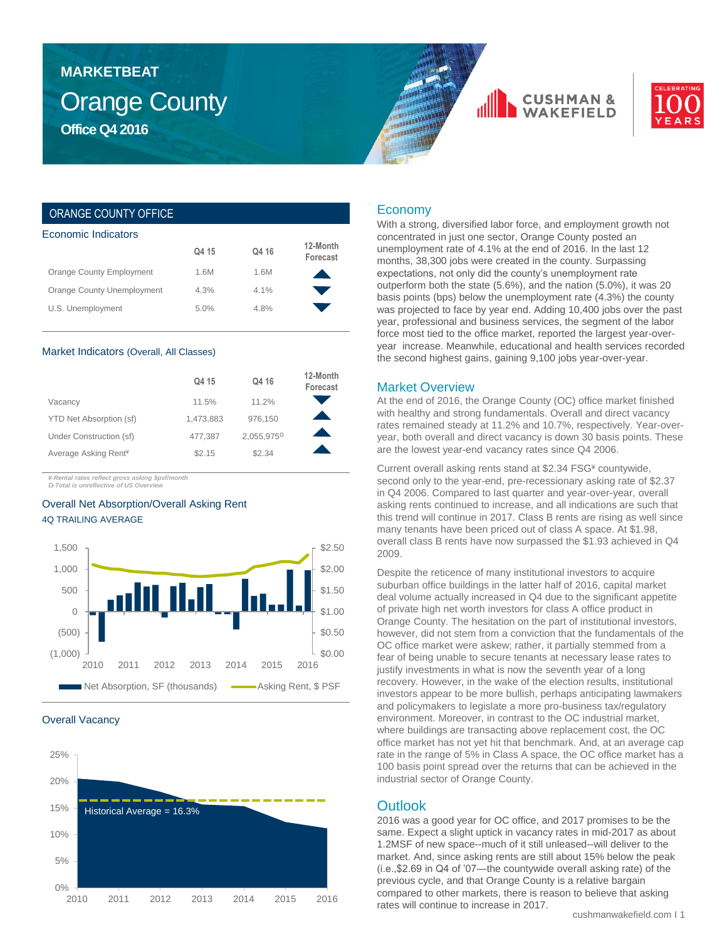## Orange County **Office Q4 2016 MARKETBEAT**





### ORANGE COUNTY OFFICE

| Economic Indicators        |       |       |                      |  |  |  |  |
|----------------------------|-------|-------|----------------------|--|--|--|--|
|                            | Q4 15 | Q4 16 | 12-Month<br>Forecast |  |  |  |  |
| Orange County Employment   | 1.6M  | 1.6M  |                      |  |  |  |  |
| Orange County Unemployment | 4.3%  | 4.1%  |                      |  |  |  |  |
| U.S. Unemployment          | 5.0%  | 4.8%  |                      |  |  |  |  |

#### Market Indicators (Overall, All Classes)

|                                  | Q4 15     | Q4 16                | 12-Month<br>Forecast |
|----------------------------------|-----------|----------------------|----------------------|
| Vacancy                          | 11.5%     | 11.2%                |                      |
| YTD Net Absorption (sf)          | 1,473,883 | 976,150              |                      |
| Under Construction (sf)          | 477.387   | $2,055,975^{\Omega}$ |                      |
| Average Asking Rent <sup>*</sup> | \$2.15    | \$2.34               |                      |

*¥-Rental rates reflect gross asking \$psf/month Ω-Total is unreflective of US Overview*

### Overall Net Absorption/Overall Asking Rent 4Q TRAILING AVERAGE







### Economy

With a strong, diversified labor force, and employment growth not concentrated in just one sector, Orange County posted an unemployment rate of 4.1% at the end of 2016. In the last 12 months, 38,300 jobs were created in the county. Surpassing expectations, not only did the county's unemployment rate outperform both the state (5.6%), and the nation (5.0%), it was 20 basis points (bps) below the unemployment rate (4.3%) the county was projected to face by year end. Adding 10,400 jobs over the past year, professional and business services, the segment of the labor force most tied to the office market, reported the largest year-overyear increase. Meanwhile, educational and health services recorded the second highest gains, gaining 9,100 jobs year-over-year.

### Market Overview

At the end of 2016, the Orange County (OC) office market finished with healthy and strong fundamentals. Overall and direct vacancy rates remained steady at 11.2% and 10.7%, respectively. Year-overyear, both overall and direct vacancy is down 30 basis points. These are the lowest year-end vacancy rates since Q4 2006.

Current overall asking rents stand at \$2.34 FSG¥ countywide, second only to the year-end, pre-recessionary asking rate of \$2.37 in Q4 2006. Compared to last quarter and year-over-year, overall asking rents continued to increase, and all indications are such that this trend will continue in 2017. Class B rents are rising as well since many tenants have been priced out of class A space. At \$1.98, overall class B rents have now surpassed the \$1.93 achieved in Q4 2009.

Despite the reticence of many institutional investors to acquire suburban office buildings in the latter half of 2016, capital market deal volume actually increased in Q4 due to the significant appetite of private high net worth investors for class A office product in Orange County. The hesitation on the part of institutional investors, however, did not stem from a conviction that the fundamentals of the OC office market were askew; rather, it partially stemmed from a fear of being unable to secure tenants at necessary lease rates to justify investments in what is now the seventh year of a long recovery. However, in the wake of the election results, institutional investors appear to be more bullish, perhaps anticipating lawmakers and policymakers to legislate a more pro-business tax/regulatory environment. Moreover, in contrast to the OC industrial market, where buildings are transacting above replacement cost, the OC office market has not yet hit that benchmark. And, at an average cap rate in the range of 5% in Class A space, the OC office market has a 100 basis point spread over the returns that can be achieved in the industrial sector of Orange County.

### **Outlook**

2016 was a good year for OC office, and 2017 promises to be the same. Expect a slight uptick in vacancy rates in mid-2017 as about 1.2MSF of new space--much of it still unleased--will deliver to the market. And, since asking rents are still about 15% below the peak (i.e.,\$2.69 in Q4 of '07—the countywide overall asking rate) of the previous cycle, and that Orange County is a relative bargain compared to other markets, there is reason to believe that asking rates will continue to increase in 2017.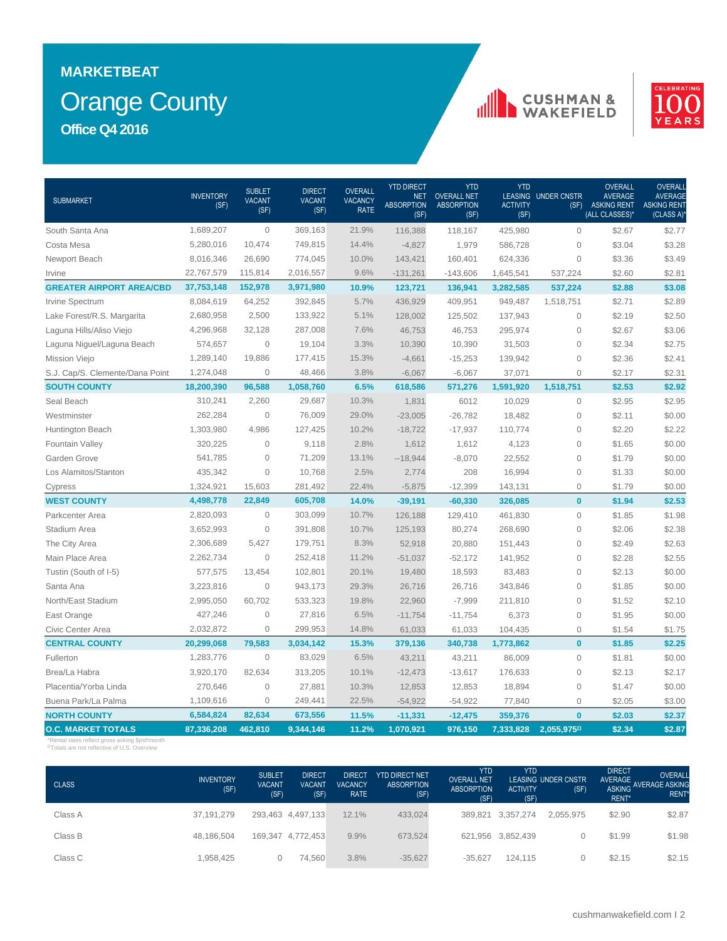# Orange County **MARKETBEAT Office Q4 2016**

### **CUSHMAN &**<br>WAKEFIELD



| <b>SUBMARKET</b>                | <b>INVENTORY</b><br>(SF) | <b>SUBLET</b><br><b>VACANT</b><br>(SF) | <b>DIRECT</b><br><b>VACANT</b><br>(SF) | <b>OVERALL</b><br><b>VACANCY</b><br><b>RATE</b> | <b>YTD DIRECT</b><br><b>NET</b><br><b>ABSORPTION</b><br>(SF) | <b>YTD</b><br><b>OVERALL NET</b><br><b>ABSORPTION</b><br>(SF) | <b>YTD</b><br><b>ACTIVITY</b><br>(SF) | LEASING UNDER CNSTR | <b>OVERALL</b><br><b>AVERAGE</b><br>(SF) ASKING RENT<br>(ALL CLASSES)* | <b>OVERALI</b><br><b>AVERAGE</b><br><b>ASKING RENT</b><br>(CLASS A) |
|---------------------------------|--------------------------|----------------------------------------|----------------------------------------|-------------------------------------------------|--------------------------------------------------------------|---------------------------------------------------------------|---------------------------------------|---------------------|------------------------------------------------------------------------|---------------------------------------------------------------------|
| South Santa Ana                 | 1,689,207                | $\Omega$                               | 369,163                                | 21.9%                                           | 116.388                                                      | 118.167                                                       | 425,980                               | $\Omega$            | \$2.67                                                                 | \$2.77                                                              |
| Costa Mesa                      | 5,280,016                | 10,474                                 | 749,815                                | 14.4%                                           | $-4,827$                                                     | 1,979                                                         | 586,728                               | $\mathbf{0}$        | \$3.04                                                                 | \$3.28                                                              |
| Newport Beach                   | 8,016,346                | 26,690                                 | 774,045                                | 10.0%                                           | 143,421                                                      | 160,401                                                       | 624,336                               | $\mathbf 0$         | \$3.36                                                                 | \$3.49                                                              |
| Irvine                          | 22,767,579               | 115,814                                | 2,016,557                              | 9.6%                                            | $-131,261$                                                   | $-143,606$                                                    | 1,645,541                             | 537,224             | \$2.60                                                                 | \$2.81                                                              |
| <b>GREATER AIRPORT AREA/CBD</b> | 37,753,148               | 152,978                                | 3,971,980                              | 10.9%                                           | 123,721                                                      | 136,941                                                       | 3,282,585                             | 537,224             | \$2.88                                                                 | \$3.08                                                              |
| Irvine Spectrum                 | 8,084,619                | 64,252                                 | 392,845                                | 5.7%                                            | 436,929                                                      | 409,951                                                       | 949,487                               | 1,518,751           | \$2.71                                                                 | \$2.89                                                              |
| Lake Forest/R.S. Margarita      | 2,680,958                | 2,500                                  | 133,922                                | 5.1%                                            | 128,002                                                      | 125,502                                                       | 137,943                               | $\mathbf 0$         | \$2.19                                                                 | \$2.50                                                              |
| Laguna Hills/Aliso Viejo        | 4,296,968                | 32,128                                 | 287,008                                | 7.6%                                            | 46,753                                                       | 46,753                                                        | 295,974                               | $\mathbf 0$         | \$2.67                                                                 | \$3.06                                                              |
| Laguna Niguel/Laguna Beach      | 574,657                  | $\mathbf{0}$                           | 19,104                                 | 3.3%                                            | 10,390                                                       | 10,390                                                        | 31,503                                | $\mathbf 0$         | \$2.34                                                                 | \$2.75                                                              |
| <b>Mission Viejo</b>            | 1,289,140                | 19,886                                 | 177,415                                | 15.3%                                           | $-4,661$                                                     | $-15,253$                                                     | 139,942                               | $\mathbf 0$         | \$2.36                                                                 | \$2.41                                                              |
| S.J. Cap/S. Clemente/Dana Point | 1,274,048                | $\overline{0}$                         | 48,466                                 | 3.8%                                            | $-6,067$                                                     | $-6,067$                                                      | 37,071                                | $\mathbf{0}$        | \$2.17                                                                 | \$2.31                                                              |
| <b>SOUTH COUNTY</b>             | 18,200,390               | 96,588                                 | 1,058,760                              | 6.5%                                            | 618,586                                                      | 571,276                                                       | 1,591,920                             | 1,518,751           | \$2.53                                                                 | \$2.92                                                              |
| Seal Beach                      | 310,241                  | 2,260                                  | 29,687                                 | 10.3%                                           | 1,831                                                        | 6012                                                          | 10,029                                | $\mathbf{0}$        | \$2.95                                                                 | \$2.95                                                              |
| Westminster                     | 262,284                  | $\mathbf 0$                            | 76,009                                 | 29.0%                                           | $-23,005$                                                    | $-26,782$                                                     | 18,482                                | $\mathbf 0$         | \$2.11                                                                 | \$0.00                                                              |
| Huntington Beach                | 1,303,980                | 4,986                                  | 127,425                                | 10.2%                                           | $-18,722$                                                    | $-17,937$                                                     | 110,774                               | $\mathbf 0$         | \$2.20                                                                 | \$2.22                                                              |
| Fountain Valley                 | 320,225                  | $\overline{0}$                         | 9,118                                  | 2.8%                                            | 1,612                                                        | 1,612                                                         | 4,123                                 | $\mathbf 0$         | \$1.65                                                                 | \$0.00                                                              |
| Garden Grove                    | 541,785                  | $\mathbf{0}$                           | 71,209                                 | 13.1%                                           | $-18,944$                                                    | $-8,070$                                                      | 22,552                                | $\mathbf 0$         | \$1.79                                                                 | \$0.00                                                              |
| Los Alamitos/Stanton            | 435,342                  | $\mathbf{0}$                           | 10,768                                 | 2.5%                                            | 2,774                                                        | 208                                                           | 16,994                                | $\mathbf 0$         | \$1.33                                                                 | \$0.00                                                              |
| Cypress                         | 1,324,921                | 15,603                                 | 281,492                                | 22.4%                                           | $-5,875$                                                     | $-12,399$                                                     | 143,131                               | $\mathbf 0$         | \$1.79                                                                 | \$0.00                                                              |
| <b>WEST COUNTY</b>              | 4,498,778                | 22,849                                 | 605,708                                | 14.0%                                           | $-39,191$                                                    | $-60,330$                                                     | 326,085                               | $\mathbf{0}$        | \$1.94                                                                 | \$2.53                                                              |
| Parkcenter Area                 | 2,820,093                | $\mathbf{0}$                           | 303,099                                | 10.7%                                           | 126,188                                                      | 129,410                                                       | 461,830                               | $\mathsf{O}\xspace$ | \$1.85                                                                 | \$1.98                                                              |
| Stadium Area                    | 3,652,993                | $\mathbf{O}$                           | 391,808                                | 10.7%                                           | 125,193                                                      | 80,274                                                        | 268,690                               | 0                   | \$2.06                                                                 | \$2.38                                                              |
| The City Area                   | 2,306,689                | 5,427                                  | 179,751                                | 8.3%                                            | 52,918                                                       | 20,880                                                        | 151,443                               | $\mathbf 0$         | \$2.49                                                                 | \$2.63                                                              |
| Main Place Area                 | 2,262,734                | $\Omega$                               | 252,418                                | 11.2%                                           | $-51,037$                                                    | $-52,172$                                                     | 141,952                               | $\mathbf{0}$        | \$2.28                                                                 | \$2.55                                                              |
| Tustin (South of I-5)           | 577,575                  | 13,454                                 | 102,801                                | 20.1%                                           | 19,480                                                       | 18,593                                                        | 83,483                                | $\mathbf{0}$        | \$2.13                                                                 | \$0.00                                                              |
| Santa Ana                       | 3,223,816                | $\mathbf{0}$                           | 943,173                                | 29.3%                                           | 26,716                                                       | 26,716                                                        | 343,846                               | $\mathbf 0$         | \$1.85                                                                 | \$0.00                                                              |
| North/East Stadium              | 2,995,050                | 60,702                                 | 533,323                                | 19.8%                                           | 22,960                                                       | $-7,999$                                                      | 211,810                               | $\mathbf 0$         | \$1.52                                                                 | \$2.10                                                              |
| East Orange                     | 427,246                  | $\mathbf 0$                            | 27,816                                 | 6.5%                                            | $-11,754$                                                    | $-11,754$                                                     | 6,373                                 | $\mathbf 0$         | \$1.95                                                                 | \$0.00                                                              |
| Civic Center Area               | 2,032,872                | $\mathbf 0$                            | 299,953                                | 14.8%                                           | 61,033                                                       | 61,033                                                        | 104,435                               | $\mathbf 0$         | \$1.54                                                                 | \$1.75                                                              |
| <b>CENTRAL COUNTY</b>           | 20,299,068               | 79,583                                 | 3,034,142                              | 15.3%                                           | 379,136                                                      | 340,738                                                       | 1,773,862                             | $\mathbf{0}$        | \$1.85                                                                 | \$2.25                                                              |
| Fullerton                       | 1,283,776                | $\overline{0}$                         | 83,029                                 | 6.5%                                            | 43,211                                                       | 43,211                                                        | 86,009                                | $\mathbf 0$         | \$1.81                                                                 | \$0.00                                                              |
| Brea/La Habra                   | 3,920,170                | 82,634                                 | 313,205                                | 10.1%                                           | $-12,473$                                                    | $-13,617$                                                     | 176,633                               | $\mathbf 0$         | \$2.13                                                                 | \$2.17                                                              |
| Placentia/Yorba Linda           | 270,646                  | $\mathbf{0}$                           | 27,881                                 | 10.3%                                           | 12,853                                                       | 12,853                                                        | 18,894                                | $\mathbf 0$         | \$1.47                                                                 | \$0.00                                                              |
| Buena Park/La Palma             | 1,109,616                | $\mathbf{0}$                           | 249,441                                | 22.5%                                           | $-54,922$                                                    | $-54,922$                                                     | 77,840                                | $\mathbf{0}$        | \$2.05                                                                 | \$3.00                                                              |
| <b>NORTH COUNTY</b>             | 6,584,824                | 82,634                                 | 673,556                                | 11.5%                                           | $-11,331$                                                    | $-12,475$                                                     | 359,376                               | $\mathbf{0}$        | \$2.03                                                                 | \$2.37                                                              |
| <b>O.C. MARKET TOTALS</b>       | 87,336,208               | 462.810                                | 9.344.146                              | 11.2%                                           | 1,070,921                                                    | 976,150                                                       | 7,333,828                             | 2,055,9750          | \$2.34                                                                 | \$2.87                                                              |

\*Rental rates reflect gross asking \$psf/month <sup>Ω</sup>Totals are not reflective of U.S. Overview

| <b>CLASS</b> | <b>INVENTORY</b><br>(SF) | <b>SUBLET</b><br><b>VACANT</b><br>(SF) | <b>DIRECT</b><br><b>VACANT</b><br>(SF) | <b>DIRECT</b><br><b>VACANCY</b><br><b>RATE</b> | <b>YTD DIRECT NET</b><br><b>ABSORPTION</b><br>(SF) | <b>YTD</b><br><b>OVERALL NET</b><br><b>ABSORPTION</b><br>(SF) | <b>YTD</b><br><b>ACTIVITY</b><br>(SF) | <b>LEASING UNDER CNSTR</b><br>(SF) | <b>DIRECT</b><br>AVERAGE<br>RENT* | OVERALL<br>ASKING AVERAGE ASKING<br>RENT <sup>*</sup> |
|--------------|--------------------------|----------------------------------------|----------------------------------------|------------------------------------------------|----------------------------------------------------|---------------------------------------------------------------|---------------------------------------|------------------------------------|-----------------------------------|-------------------------------------------------------|
| Class A      | 37,191,279               |                                        | 293,463 4,497,133                      | 12.1%                                          | 433,024                                            | 389.821                                                       | 3,357,274                             | 2.055.975                          | \$2.90                            | \$2.87                                                |
| Class B      | 48,186,504               |                                        | 169,347 4,772,453                      | 9.9%                                           | 673,524                                            |                                                               | 621,956 3,852,439                     |                                    | \$1.99                            | \$1.98                                                |
| Class C      | .958.425                 | $\mathbf{0}$                           | 74.560                                 | 3.8%                                           | $-35,627$                                          | $-35.627$                                                     | 124.115                               |                                    | \$2.15                            | \$2.15                                                |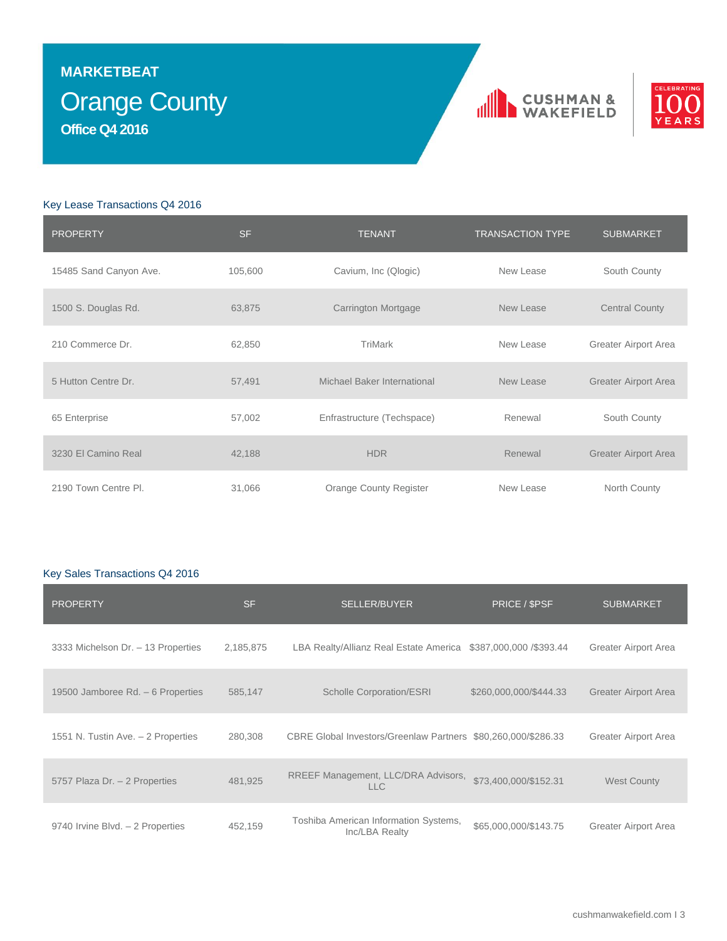# Orange County **MARKETBEAT Office Q4 2016**





### Key Lease Transactions Q4 2016

| <b>PROPERTY</b>        | <b>SF</b> | <b>TENANT</b>               | <b>TRANSACTION TYPE</b> | <b>SUBMARKET</b>            |
|------------------------|-----------|-----------------------------|-------------------------|-----------------------------|
| 15485 Sand Canyon Ave. | 105,600   | Cavium, Inc (Qlogic)        | New Lease               | South County                |
| 1500 S. Douglas Rd.    | 63,875    | Carrington Mortgage         | New Lease               | <b>Central County</b>       |
| 210 Commerce Dr.       | 62,850    | TriMark                     | New Lease               | Greater Airport Area        |
| 5 Hutton Centre Dr.    | 57,491    | Michael Baker International | New Lease               | Greater Airport Area        |
| 65 Enterprise          | 57,002    | Enfrastructure (Techspace)  | Renewal                 | South County                |
| 3230 El Camino Real    | 42,188    | <b>HDR</b>                  | Renewal                 | <b>Greater Airport Area</b> |
| 2190 Town Centre PI.   | 31,066    | Orange County Register      | New Lease               | North County                |

### Key Sales Transactions Q4 2016

| <b>PROPERTY</b>                    | <b>SF</b> | <b>SELLER/BUYER</b>                                            | PRICE / \$PSF          | <b>SUBMARKET</b>            |
|------------------------------------|-----------|----------------------------------------------------------------|------------------------|-----------------------------|
| 3333 Michelson Dr. - 13 Properties | 2,185,875 | LBA Realty/Allianz Real Estate America \$387,000,000 /\$393.44 |                        | Greater Airport Area        |
| 19500 Jamboree Rd. - 6 Properties  | 585,147   | <b>Scholle Corporation/ESRI</b>                                | \$260,000,000/\$444.33 | <b>Greater Airport Area</b> |
| 1551 N. Tustin Ave. - 2 Properties | 280,308   | CBRE Global Investors/Greenlaw Partners \$80,260,000/\$286.33  |                        | Greater Airport Area        |
| 5757 Plaza Dr. - 2 Properties      | 481.925   | RREEF Management, LLC/DRA Advisors,<br>LLC                     | \$73,400,000/\$152.31  | <b>West County</b>          |
| 9740 Irvine Blvd. - 2 Properties   | 452,159   | Toshiba American Information Systems,<br>Inc/LBA Realty        | \$65,000,000/\$143.75  | Greater Airport Area        |